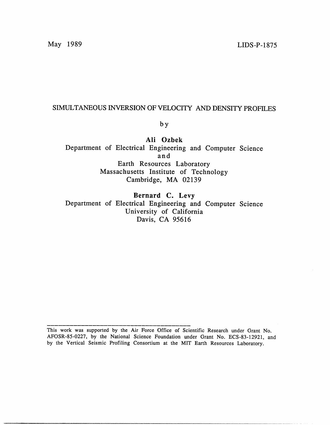# SIMULTANEOUS INVERSION OF VELOCITY AND DENSITY PROFILES

by

**Ali Ozbek** Department of Electrical Engineering and Computer Science and Earth Resources Laboratory Massachusetts Institute of Technology Cambridge, MA 02139

**Bernard C. Levy** Department of Electrical Engineering and Computer Science University of California Davis, CA *95616*

This work was supported by the Air Force Office of Scientific Research under Grant No. AFOSR-85-0227, by the National Science Foundation under Grant No. ECS-83-12921, and by the Vertical Seismic Profiling Consortium at the MIT Earth Resources Laboratory.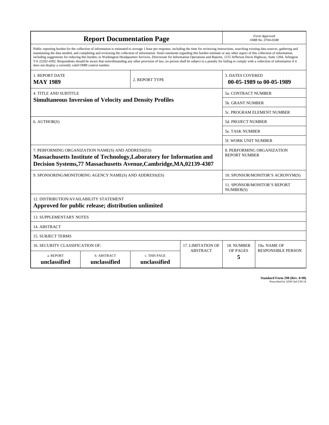| <b>Report Documentation Page</b>                                                                                                                                                                                                                                                                                                                                                                                                                                                                                                                                                                                                                                                                                                                                                                                                                                   |                             |                              |                 | Form Approved<br>OMB No. 0704-0188                  |                           |
|--------------------------------------------------------------------------------------------------------------------------------------------------------------------------------------------------------------------------------------------------------------------------------------------------------------------------------------------------------------------------------------------------------------------------------------------------------------------------------------------------------------------------------------------------------------------------------------------------------------------------------------------------------------------------------------------------------------------------------------------------------------------------------------------------------------------------------------------------------------------|-----------------------------|------------------------------|-----------------|-----------------------------------------------------|---------------------------|
| Public reporting burden for the collection of information is estimated to average 1 hour per response, including the time for reviewing instructions, searching existing data sources, gathering and<br>maintaining the data needed, and completing and reviewing the collection of information. Send comments regarding this burden estimate or any other aspect of this collection of information,<br>including suggestions for reducing this burden, to Washington Headquarters Services, Directorate for Information Operations and Reports, 1215 Jefferson Davis Highway, Suite 1204, Arlington<br>VA 22202-4302. Respondents should be aware that notwithstanding any other provision of law, no person shall be subject to a penalty for failing to comply with a collection of information if it<br>does not display a currently valid OMB control number. |                             |                              |                 |                                                     |                           |
| 1. REPORT DATE<br><b>MAY 1989</b>                                                                                                                                                                                                                                                                                                                                                                                                                                                                                                                                                                                                                                                                                                                                                                                                                                  | 2. REPORT TYPE              |                              |                 | <b>3. DATES COVERED</b><br>00-05-1989 to 00-05-1989 |                           |
| <b>4. TITLE AND SUBTITLE</b>                                                                                                                                                                                                                                                                                                                                                                                                                                                                                                                                                                                                                                                                                                                                                                                                                                       |                             |                              |                 | 5a. CONTRACT NUMBER                                 |                           |
| <b>Simultaneous Inversion of Velocity and Density Profiles</b>                                                                                                                                                                                                                                                                                                                                                                                                                                                                                                                                                                                                                                                                                                                                                                                                     |                             |                              |                 | <b>5b. GRANT NUMBER</b>                             |                           |
|                                                                                                                                                                                                                                                                                                                                                                                                                                                                                                                                                                                                                                                                                                                                                                                                                                                                    |                             |                              |                 | 5c. PROGRAM ELEMENT NUMBER                          |                           |
| 6. AUTHOR(S)                                                                                                                                                                                                                                                                                                                                                                                                                                                                                                                                                                                                                                                                                                                                                                                                                                                       |                             |                              |                 | <b>5d. PROJECT NUMBER</b>                           |                           |
|                                                                                                                                                                                                                                                                                                                                                                                                                                                                                                                                                                                                                                                                                                                                                                                                                                                                    |                             |                              |                 | <b>5e. TASK NUMBER</b>                              |                           |
|                                                                                                                                                                                                                                                                                                                                                                                                                                                                                                                                                                                                                                                                                                                                                                                                                                                                    |                             |                              |                 | <b>5f. WORK UNIT NUMBER</b>                         |                           |
| 7. PERFORMING ORGANIZATION NAME(S) AND ADDRESS(ES)<br>Massachusetts Institute of Technology, Laboratory for Information and<br>Decision Systems, 77 Massachusetts Avenue, Cambridge, MA, 02139-4307                                                                                                                                                                                                                                                                                                                                                                                                                                                                                                                                                                                                                                                                |                             |                              |                 | 8. PERFORMING ORGANIZATION<br><b>REPORT NUMBER</b>  |                           |
| 9. SPONSORING/MONITORING AGENCY NAME(S) AND ADDRESS(ES)                                                                                                                                                                                                                                                                                                                                                                                                                                                                                                                                                                                                                                                                                                                                                                                                            |                             |                              |                 | 10. SPONSOR/MONITOR'S ACRONYM(S)                    |                           |
|                                                                                                                                                                                                                                                                                                                                                                                                                                                                                                                                                                                                                                                                                                                                                                                                                                                                    |                             |                              |                 | 11. SPONSOR/MONITOR'S REPORT<br>NUMBER(S)           |                           |
| 12. DISTRIBUTION/AVAILABILITY STATEMENT<br>Approved for public release; distribution unlimited                                                                                                                                                                                                                                                                                                                                                                                                                                                                                                                                                                                                                                                                                                                                                                     |                             |                              |                 |                                                     |                           |
| <b>13. SUPPLEMENTARY NOTES</b>                                                                                                                                                                                                                                                                                                                                                                                                                                                                                                                                                                                                                                                                                                                                                                                                                                     |                             |                              |                 |                                                     |                           |
| 14. ABSTRACT                                                                                                                                                                                                                                                                                                                                                                                                                                                                                                                                                                                                                                                                                                                                                                                                                                                       |                             |                              |                 |                                                     |                           |
| <b>15. SUBJECT TERMS</b>                                                                                                                                                                                                                                                                                                                                                                                                                                                                                                                                                                                                                                                                                                                                                                                                                                           |                             |                              |                 |                                                     |                           |
| 16. SECURITY CLASSIFICATION OF:<br><b>17. LIMITATION OF</b>                                                                                                                                                                                                                                                                                                                                                                                                                                                                                                                                                                                                                                                                                                                                                                                                        |                             |                              |                 | 18. NUMBER                                          | 19a. NAME OF              |
| a. REPORT<br>unclassified                                                                                                                                                                                                                                                                                                                                                                                                                                                                                                                                                                                                                                                                                                                                                                                                                                          | b. ABSTRACT<br>unclassified | c. THIS PAGE<br>unclassified | <b>ABSTRACT</b> | OF PAGES<br>5                                       | <b>RESPONSIBLE PERSON</b> |

**Standard Form 298 (Rev. 8-98)**<br>Prescribed by ANSI Std Z39-18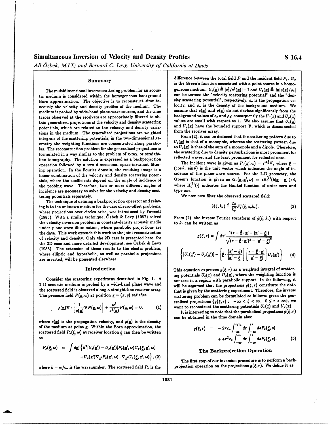## Simultaneous Inversion of Velocity and Density Profiles S 16.4

*Ali Ozbek, M.I.T.; and Bernard C. Levy, University of California at Davis*

tic medium is considered within the homogeneous background can be termed the "velocity scattering potential" and the "den-<br>Born approximation. The objective is to reconstruct simulta-<br>sity scattering potential", respective Born approximation. The objective is to reconstruct simulta- sity scattering potential", respectively.  $c_o$  is the propagation ve-<br>neculate the velocity and density profiles of the medium. The clocity, and  $\rho_o$  is the de neously the velocity and density profiles of the medium. The locity, and  $\rho_o$  is the density of the background medium. We<br>medium is probed by wide-hand plane-wave sources and the time assume that  $c(\underline{x})$  and  $\rho(\underline{x})$  do medium is probed by wide-band plane-wave sources, and the time assume that  $c(\underline{x})$  and  $\rho(\underline{x})$  do not deviate significantly from the  $U_c(\underline{x})$  and  $U_s(\underline{x})$ <br>traces cheerved at the receivers are appropriately filtered to ob traces observed at the receivers are appropriately filtered to ob-<br>the values are small with respect to 1. We also assume that  $U_c(x)$ <br>the concentional projections of the velocity and density scattering<br>values are small wi tain generalized projections of the velocity and density scattering values are small with respect to 1. We also assume that  $U_c(\underline{x})$ <br>notapities which are related to the velocity and density varia. and  $U_o(\underline{x})$  have the bo potentials, which are related to the velocity and density varia- and  $U_p(\underline{x})$  have the bounded support V, which is disconnected support V, which is disconnected support V, which is disconnected support v, which is disconn tions in the medium. The generalized projections are weighted from the receiver array.<br>From (2), it can be deduced that the scattering pattern due to integrals of the scattering potentials; in the two-dimensional ge-<br>  $U_c(\underline{x})$  is that of a monopole, whereas the scattering pattern due<br>  $U_c(\underline{x})$  is that of a monopole, whereas the scattering pattern due ometry the weighting functions are concentrated along parabo-  $U_c(\underline{x})$  is that of a monopole, whereas the scattering pattern due<br>les The second problem for the senerelized projections is las. The reconstruction problem for the generalized projections is  $\log_2(x)$  is that of the sum of a monopole and a dipole. Therefore,<br>formulated in a monopole and in a monopole of the problem of x any or straight. formulated in a way similar to the problem of x-ray, or straight-<br>the scattering due to density perturbations is most prominent for reflected ones. line tomography. The solution is expressed as a backprojection reflected waves, and the least prominent for reflected ones.<br>
The incident wave is given as  $P_o(\underline{x}', \omega) = e^{i\mathbf{k}\cdot\hat{\mathbf{z}}}\cdot\mathbf{w}$  where  $\hat{\theta} =$ operation followed by a two dimensional space-invariant filter-<br>inv operation. In the Fourier domain the resulting image is a  $(\cos \theta, \sin \theta)$  is the unit vector which indicates the angle of ining operation. In the Fourier domain, the resulting image is a linear combination of the velocity and density scattering potenlinear combination of the velocity and density scattering poten-<br>cidence of the plane-wave source. For the 2-D geometry, the tials, where the coefficients depend on the angle of incidence of Green's function is given as  $G_o(\underline{x}, \underline{x}', \omega) = iH_0^{(1)}(k|\underline{x}-\underline{x}'|)/4$ the probing wave. Therefore, two or more different angles of where  $H_0^I$ <br>incidence are necessary to solve for the velocity and density scate type one. incidence are necessary to solve for the velocity and density scattering potentials separately.

The technique of defining a backprojection operator and relating it to the unknown medium for the case of zero-offset problems, where projections over circles arise, was introduced by Fawcett (1985). With a similar technique, Özbek & Levy (1987) solved the velocity inversion problem in constant-density acoustic media to  $k_r$  can be written as under plane-wave illumination, where parabolic projections are the data. This work extends this work to the joint reconstruction of velocity and density. Only the 2D case is presented here, for the 3D case and more detailed development, see Ozbek & Levy (1988). The extension of these results to the elastic problem,<br>where elliptic and hyperbolic, as well as parabolic projections  $\left\{\right.$ where elliptic and hyperbolic, as well as parabolic projections are inverted, will be presented elsewhere.

Consider the scattering experiment described in Fig. 1. A nonzero in a region with parabolic support. In the following, it 2-D acoustic medium is probed by a wide-band plane wave and will be assumed that the projections

$$
\rho(\underline{x})\nabla\cdot\left[\frac{1}{\rho(\underline{x})}\nabla P(\underline{x},\omega)\right]+\frac{\omega^2}{c^2(\underline{x})}P(\underline{x},\omega)=0,\hspace{1cm} (1)
$$

where  $c(\underline{x})$  is the propagation velocity, and  $\rho(\underline{x})$  is the density of the medium at point  $\underline{x}$ . Within the Born approximation, the scattered field  $P_{\rho}(\xi, \omega)$  at receiver location  $\xi$  can then be written as  $+4\pi^2$ 

$$
P_{s}(\xi,\omega) = \int d\underline{x}' \left\{ k^{2} [U_{c}(\underline{x}') - U_{\rho}(\underline{x}')] P_{o}(\underline{x}',\omega) G_{o}(\xi,\underline{x}',\omega) + U_{\rho}(\underline{x}') \nabla_{\underline{x}'} P_{o}(\underline{x}',\omega) \cdot \nabla_{\underline{x}'} G_{o}(\xi,\underline{x}',\omega) \right\}, (2)
$$

where  $k = \omega/c_o$  is the wavenumber. The scattered field  $P_a$  is the

**8ummary** difference between the total field *P* and the incident field *P<sub>o</sub>*.  $G_o$ is the Green's function associated with a point source in a homo-The multidimensional inverse scattering problem for an acous-<br>madium is considered within the homogeneous background can be termed the "velocity scattering potential" and the "dengeneous medium.  $U_c(\underline{x}) \triangleq [c_o^2/c^2(\underline{x})] - 1$  and  $U_o(\underline{x}) \triangleq \ln[\rho(\underline{x})/\rho_o]$ 

where  $H_0^{(1)}(\cdot)$  indicates the Hankel function of order zero and

We now now filter the observed scattered field:

$$
\hat{g}(\xi, k_r) \triangleq \frac{2\pi}{k_r^2} P_s^*(\xi, c_o k_r). \tag{3}
$$

From (2), the inverse Fourier transform of  $\hat{g}(\xi, k_r)$  with respect

$$
g(\xi, r) = \int d\underline{x}' \frac{1(r - \hat{\underline{\theta}} \cdot \underline{x}' - |\underline{x}' - \underline{\xi}|)}{\sqrt{(r - \hat{\underline{\theta}} \cdot \underline{x}')^2 - |\underline{x}' - \underline{\xi}|^2}}
$$

$$
U_c(\underline{x}') - U_{\rho}(\underline{x}')] - \left[\hat{\underline{\theta}} \cdot \frac{(\underline{x}' - \underline{\xi})}{|\underline{x}' - \underline{\xi}|}\right] \left[\frac{r - \hat{\underline{\theta}} \cdot \underline{x}'}{|\underline{x}' - \underline{\xi}|}\right] U_{\rho}(\underline{x}')\right\}.
$$
 (4)

**Introduction This equation expresses**  $g(\xi, r)$  **as a weighted integral of scatter-**Consider the scattering experiment described in Fig. 1. A ing potentials  $U_e(\underline{x})$  and  $U_p(\underline{x})$ , where the weighting function is<br>consider the scattering experiment described in Fig. 1. A increase in a region with parabolic will be assumed that the projections  $g(\xi, r)$  constitute the data the scattered field is observed along a straight-line receiver array.<br>The pressure field  $P(\underline{x}, \omega)$  at position  $\underline{x} = (x, y)$  satisfies<br>scattering problem can be formulated as follows: given the genscattering problem can be formulated as follows: given the generalized projections  ${g(\xi,r): -\infty < \xi < \infty, 0 \leq r < \infty}$ , we want to reconstruct the scattering potentials  $U_c(\underline{x})$  and  $U_s(\underline{x})$ .

It is interesting to note that the parabolical projections  $g(\xi, r)$ can be obtained in the time domain also:

$$
g(\xi,r) = -2\pi c_o \int_{-\infty}^{r/c_o} dr \int_{-\infty}^{r} ds P_s(\underline{\xi},s)
$$
  
+  $4\pi^2 c_o \int_{-\infty}^{\infty} dr \int_{-\infty}^{r} ds P_s(\underline{\xi},s).$  (5)

### *P.(f, w) =* **Jd[** *{k([Ue(z')* - *UP,( If)]P.(z,)Go.(~\_,z\_, w)* The Backprojection Operation

The first step of our inversion procedure is to perform a back-<br>projection operation on the projections  $g(\xi, r)$ . We define it as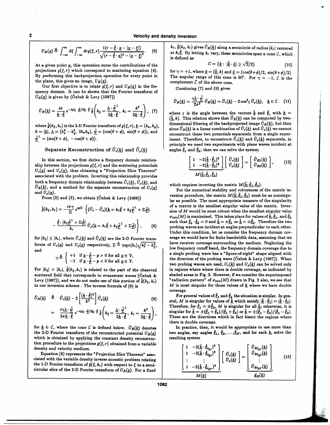2 **Velocity and density** Inversion

$$
U_B(\underline{x}) \triangleq \int_{-\infty}^{\infty} d\xi \int_{-\infty}^{\infty} dr g(\xi, r) \frac{1(r - \hat{\underline{\theta}} \cdot \underline{x} - |\underline{x} - \underline{\xi}|)}{\sqrt{(r - \hat{\underline{\theta}} \cdot \underline{x})^2 - |\underline{x} - \underline{\xi}|^2}}.
$$
 (6)

At a given point  $\underline{x}$ , this operation sums the contributions of the *projections*  $g(\xi, r)$  which correspond to scattering equation (4). projections  $g(\xi, r)$  which correspond to scattering equation (4). for  $\gamma = +1$ , where  $\underline{k} = (\underline{k}, k)$  and  $\underline{\hat{\nu}} = (\cos(\theta + \phi)/2, \sin(\theta + \phi)/2)$ .<br>By performing this backprojection operation for every point in The angular range of

Our first objective is to relate  $g(\xi, r)$  and  $U_B(\underline{x})$  in the fre-<br>Combining (7) and (9) gives quency domain. It can be shown that the Fourier transform of  $U_B(x)$  is given by (Özbek & Levy (1987))

$$
\hat{U}_B(\underline{k}) = \frac{i\pi}{\underline{k}\cdot\hat{\underline{\theta}}} e^{-ip\underline{\lambda}\cdot\hat{\underline{\psi}}/2\underline{k}\cdot\hat{\underline{\theta}}} \hat{\mathfrak{g}}\left(k_\xi = \frac{\underline{\lambda}\cdot\hat{\underline{\psi}}^{\perp}}{2\underline{k}\cdot\hat{\underline{\theta}}}, k_r = \frac{k^2}{2\underline{k}\cdot\hat{\underline{\theta}}}\right), \quad (7)
$$

where  $\hat{g}(k_{\xi}, k_{r})$  is the 2-D Fourier transform of  $g(\xi, r)$ ,  $\underline{k} = (k_{x}, k_{y})$ ,<br>  $k = |\underline{k}|$ ,  $\underline{\lambda} = (k_{x}^{2} - k_{y}^{2}, 2k_{x}k_{y})$ ,  $\underline{\hat{\psi}} = (\cos(\theta + \phi), \sin(\theta + \phi))$ , and  $\hat{k} = |\hat{k}|$ ,  $\Delta = (\kappa_{\bar{x}} - \kappa_{\bar{y}}, 2\kappa_{z}\kappa_{y}), \underline{\psi} = (\cos(\theta + \phi), \cos(\theta + \phi)).$ <br>  $\hat{\psi}^{\perp} = (\sin(\theta + \phi), -\cos(\theta + \phi)).$ <br>
Feconstruct these two potentials separately from a single exper-<br>
iment. Therefore, to reconstruct  $\hat{U}_c(k)$  and  $\$ 

### Separate Reconstruction of  $\hat{U}_c(\underline{k})$  and  $\hat{U}_o(\underline{k})$

In this section, we first derive a frequency domain relationship between the projections  $g(\xi, r)$  and the scattering potentials  $U_c(\underline{x})$  and  $U_p(\underline{x})$ , thus obtaining a "Projection Slice Theorem" associated with the problem. Inverting this relationship provides both a frequency domain relationship between  $\hat{U}_{\rho}(k)$ ,  $\hat{U}_{\rho}(k)$ , and which requires inverting the matrix  $M(\hat{k}; \hat{\theta}_1, \hat{\theta}_2)$ ,  $\hat{U}_{\rho}(k)$ , and a method for the separate reconstruction of  $U_c(x)$ . For the numeric  $U_B(\underline{\kappa})$ , and a method for the separate reconstruction of  $U_c(\underline{x})$  **For the numerical stability and robustness of the matrix in-**<br>and  $U_\rho(\underline{x})$ .

$$
\hat{\hat{g}}(k_{\xi}, k_{r}) = -\frac{i\pi\gamma}{\Sigma} e^{ip\Sigma} \left\{ (\hat{U}_{c} - \hat{U}_{\rho})(\underline{k} = k_{r}\hat{\underline{\theta}} + k_{\xi}\hat{\underline{\phi}}^{\perp} + \Sigma\hat{\underline{\phi}}) - \frac{\hat{\underline{\theta}} \cdot [k_{\xi}\hat{\underline{\phi}}^{\perp} + \Sigma\hat{\underline{\phi}}]}{k_{r}} \hat{U}_{\rho}(\underline{k} = k_{r}\hat{\underline{\theta}} + k_{\xi}\hat{\underline{\phi}}^{\perp} + \Sigma\hat{\underline{\phi}}) \right\}, \tag{8}
$$

$$
\gamma \triangleq \left\{ \begin{array}{cl} +1 & \text{if } \underline{x} \cdot \hat{\phi} - p > 0 \text{ for all } \underline{x} \in \mathcal{V}, \\ -1 & \text{if } \underline{x} \cdot \hat{\phi} - p < 0 \text{ for all } \underline{x} \in \mathcal{V}. \end{array} \right.
$$

For  $|k_{\xi}| > |k_{r}|$ ,  $\hat{g}(k_{\xi}, k_{r})$  is related to the part of the observed scattered field that corresponds to evanescent waves (Ozbek & shaded areas in Fig. 2. However, if we consider the superimposed Levy (1987)), and we do not make use of this portion of  $\hat{a}(k_1, k_2)$  radiation pattern" of Levy (1987)), and we do not make use of this portion of  $\hat{g}(k_{\xi}, k_{r})$  <sup>"</sup>radiation pattern" of  $\sigma_{min}(M)$  drawn in Fig. 2 also, we see that in our inversion scheme. The inverse formula of (8) is  $M$  is most singular for in our inversion scheme. The inverse formula of  $(8)$  is

$$
\hat{U}_R(\underline{k}) \triangleq \hat{U}_c(\underline{k}) - 2 \left[ \frac{(\underline{k} \cdot \hat{\underline{\theta}})^2}{k^2} \right] \hat{U}_\rho(\underline{k}) \qquad (9)
$$
\n
$$
= \frac{i\gamma \underline{\lambda} \cdot \hat{\underline{\psi}}}{2\pi \underline{k} \cdot \hat{\underline{\theta}}} e^{-ip\underline{\lambda} \cdot \hat{\underline{\psi}}/2\underline{k} \cdot \hat{\underline{\theta}}} \hat{\mathfrak{g}} \left( k_\xi = \frac{\underline{\lambda} \cdot \hat{\underline{\psi}}^{\perp}}{2\underline{k} \cdot \hat{\underline{\theta}}} , k_r = \frac{k^2}{2\underline{k} \cdot \hat{\underline{\theta}}} \right),
$$

for  $k \in \mathcal{C}$ , where the cone  $\mathcal{C}$  is defined below.  $\hat{U}_R(\underline{k})$  denotes the 2-D Fourier transform of the reconstructed potential  $U_R(\underline{x})$  iwo angles, say which is obtained by applying the constant density reconstruction which is obtained by applying the constant density reconstruction procedure to the projections  $g(\xi, r)$  obtained from a variable  $\left[1 - 2(\underline{\hat{k}} \cdot \underline{\hat{\theta}}_{i_{\underline{k}1}})^2\right]$   $\left[ \begin{array}{c} \hat{U}_{R i_{\underline{k}1}}(k) \end{array} \right]$ 

Equation (8) represents the "Projection Slice Theorem" associated with the variable density inverse acoustic problem relating ( ) the 1-D Fourier transform of  $\hat{g}(\xi, k_r)$  with respect to  $\xi$  to a semicircular slice of the 2-D Fourier transform of  $U_R(\underline{x})$ . For a fixed  $k_r$ ,  $\hat{g}(k_\xi, k_r)$  gives  $\hat{U}_R(\underline{k})$  along a semicircle of radius  $|k_r|$  centered at  $k_r \hat{\theta}$ . By letting  $k_r$  vary, these semicircles span a cone  $C$ , which is defined as

$$
C = \{ \underline{k} : |\underline{\hat{k}} \cdot \underline{\hat{\nu}}| \ge \sqrt{2}/2 \} \tag{10}
$$

By performing this backprojection operation for every point in The angular range of this cone is 90°. For  $\gamma = -1$ , *C* is the the plane, this gives an image,  $U_B(\underline{x})$ . complement  $\tilde{C}$  of the above cone.

$$
\hat{U}_R(\underline{k}) = \frac{\gamma \underline{\lambda} \cdot \hat{\psi}}{2\pi^2} \hat{U}_B(\underline{k}) = \hat{U}_c(\underline{k}) - 2\cos^2\zeta \hat{U}_\rho(\underline{k}), \quad \underline{k} \in \mathcal{C}. \quad (11)
$$

where  $\zeta$  is the angle between the vectors  $\hat{k}$  and  $\hat{\theta}$ , with  $k =$  $(\hat{k}, k)$ . This relation shows that  $\hat{U}_R(k)$  can be computed by two-<br>dimensional filtering of the backprojected image  $\hat{U}_R(k)$ , but then  $\hat{U}_R(\underline{k})$  is a linear combination of  $\hat{U}_c(\underline{k})$  and  $\hat{U}_\rho(\underline{k})$  we cannot iment. Therefore, to reconstruct  $\hat{U}_c(\underline{k})$  and  $\hat{U}_\rho(\underline{k})$  separately, in principle we need two experiments with plane waves incident at angles  $\hat{\theta}_1$  and  $\hat{\theta}_2$ ; then we can solve the system

$$
\underbrace{\left[\begin{array}{cc} 1 & -2(\underline{\hat{k}} \cdot \hat{\theta}_1)^2 \\ 1 & -2(\underline{\hat{k}} \cdot \hat{\theta}_2)^2 \end{array}\right]}_{M(\underline{\hat{k}};\,\underline{\hat{\theta}}_1,\,\underline{\hat{\theta}}_2)}\left[\begin{array}{c} \hat{U}_c(\underline{k}) \\ \hat{U}_\rho(\underline{k}) \end{array}\right] = \left[\begin{array}{c} \hat{U}_{R1}(\underline{k}) \\ \hat{U}_{R2}(\underline{k}) \end{array}\right],\tag{12}
$$

 $\frac{1}{\log(\frac{x}{n})}$ .<br>From (2) and (3), we obtain (Özbek & Levy (1988)) version procedure, the matrix  $M(\hat{\underline{k}}; \hat{\theta}_1, \hat{\theta}_2)$  must be as nonsingu-<br>lar as possible. The most appropriate measure of the singularity of a matrix is the smallest singular value of the matrix. Inversion of *M* would be most robust when the smallest singular value  $\sigma_{\min}(M)$  is maximized. This takes place for values of  $\hat{k}$ ,  $\hat{\theta}_1$ , and  $\hat{\theta}_2$ such that  $\hat{\theta}_1 \cdot \hat{\theta}_2 = 0$  and  $\hat{k} = \pm \hat{\theta}_1$  or  $\hat{k} = \pm \hat{\theta}_2$ . Therefore the two probing waves are incident at angles perpendicular to each other. Under this condition, let us consider the frequency domain covfor  $|k_{\xi}| \leq |k_r|$ , where  $\hat{U}_c(\underline{k})$  and  $\hat{U}_p(\underline{k})$  are the 2-D Fourier trans-<br>forms of *II* (n) and *II* (n) consider  $\sum_{i=1}^{N}$ ,  $\sqrt{2n+2i}$  have receiver coverage surrounding the medium. Neglecting the forms of  $U_c(\underline{x})$  and  $U_p(\underline{x})$  respectively,  $\Sigma \triangleq \gamma \text{sgn}(k_r) \sqrt{k_r^2 - k_\xi^2}$ , have receiver coverage surrounding the medium. Neglecting the and a single probing wave has a "figure-of-eight" shape aligned with the direction of the probing wave ( $\ddot{O}$ zbek & Levy (1987)). When two probing waves are used,  $U_c(\underline{k})$  and  $U_p(\underline{k})$  can be solved only in regions where where there is double coverage, as indicated by coverage.

> For general values of  $\hat{\theta}_1$  and  $\hat{\theta}_2$  the situation is similar. In general, *M* is singular for values of  $\hat{k}$  which satisfy  $|\hat{k} \cdot \hat{\theta}_1| = |\hat{k} \cdot \hat{\theta}_2|$ . Therefore, for  $\hat{\theta}_1 = \pm \hat{\theta}_2$ , *M* is singular for all  $\hat{k}$ ; otherwise, it is singular for  $\hat{k} = \pm (\hat{\theta}_1 + \hat{\theta}_2)/|\hat{\theta}_1 + \hat{\theta}_2|$  or  $\hat{k} = \pm (\hat{\theta}_1 - \hat{\theta}_2)/|\hat{\theta}_1 - \hat{\theta}_2|$ . These are the directions which in fact bisect the regions where there is double coverage.

> In practice, then, it would be appropriate to use more than two angles, say angles  $\hat{\theta}_1$ ,  $\hat{\theta}_2$ , ...,  $\hat{\theta}_N$ , and for each  $\underline{k}$ , solve the

$$
\left[\begin{array}{c}1 & -2(\hat{\underline{k}}\cdot\hat{\underline{\theta}}_{i_{\underline{k}1}})^{2}\\1 & -2(\hat{\underline{k}}\cdot\hat{\underline{\theta}}_{i_{\underline{k}2}})^{2}\\ \vdots & \vdots\\1 & -2(\hat{\underline{k}}\cdot\hat{\underline{\theta}}_{i_{\underline{k}P}})^{2}\end{array}\right]\left[\begin{array}{c}\hat{U}_{c}(\underline{k})\\ \hat{U}_{c}(\underline{k})\end{array}\right]=\left[\begin{array}{c}\hat{U}_{Ri_{\underline{k}1}}(\underline{k})\\ \hat{U}_{Ri_{\underline{k}2}}(\underline{k})\end{array}\right]
$$
(13)  

$$
\frac{M(\underline{k})}{M(\underline{k})}
$$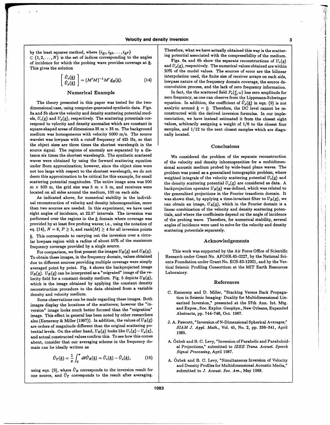$C \{1, 2, ..., N\}$  is the set of indices corresponding to the angles ing potential associated with the compressibility of the medium.<br>
of incidence for which the probing wave provides coverage at k.<br>  $\frac{1}{125}$ , 6a and 6b sh

$$
\begin{bmatrix}\n\hat{U}_c(\underline{k}) \\
\hat{U}_\rho(\underline{k})\n\end{bmatrix} = (M'M)^{-1}M'\,\underline{d}_R(\underline{k}).\n\tag{14}
$$

3a and 3b show the velocity and density scattering potential mod- constructed with the derived inversion formulas. In our impleels,  $U_c(\underline{x})$  and  $U_p(\underline{x})$ , respectively. The scattering potentials cor-<br>respond to velocity and density anomalies which are constant in values, arbitrarily assigning a weight of 1/6 to the closest four respond to velocity and density anomalies which are constant in values, arbitrarily assigning a weight of  $1/6$  to the closest four square-shaped areas of dimensions 35 m  $\times$  35 m. The background samples, and  $1/12$  to t medium was homogeneous with velocity 5000 m/s. The source  $\parallel$  nally located. wavelet was lowpass with a cutoff frequency of 425 Hz, so that the object sizes are three times the shortest wavelength in the  $\overline{a}$  Conclusions source signal. The regions of anomaly are separated by a distance six times the shortest wavelength. The synthetic scattered We considered the problem of the separate reconstruction waves were obtained by using the forward scattering equation of the velocity and density inhomogeneities for a multidimenunder Born approximation; however, since the object sizes were sional acoustic medium probed by wide-band plane waves. The not too large with respect to the shortest wavelength, we do not problem was posed as a generalized tomographic problem, where<br>deem this approximation to be critical for this example. for small unitated integrals of the ve scattering potential magnitudes. The entire image area was 500 the density scattering potential  $U_o(\underline{x})$  are considered as data. A

ual reconstruction of velocity and density inhomogeneities, more can obtain an image,  $U_R(x)$ , which in the Fourier domain is a than two sources are needed. In this experiment, we have used linear combination of the velocity and density scattering poteneight angles of incidence, at 22.5° intervals. The inversion was the coefficients depend on the angle of incidence<br>performed over the regions in the k domain where coverage was defined and where the coefficients depend on provided by at least five probing waves; i.e., using the notation of angles of incidence were used to solve for the velocity and density eq. (14),  $N = 8$ ,  $P \ge 5$ , and rank $(M) \ge 4$  for all inversion points scattering potentials separately. *k.* This corresponds to carrying out the inversion over a circular lowpass region with a radius of about 55% of the maximum Acknowledgements frequency coverage provided by a single source.

To obtain these images, in the frequency domain, values obtained Research under Grant No. AFOSR-85-0227, by the National Sci-<br>due to different sources providing multiple coverage were simply ence Foundation under Grant No. due to different sources providing multiple coverage were simply<br>averaged point by point. Fig. 4 shows the backprojected image tical Seismic Profiling Consortium at the MIT Earth Resources averaged point by point. Fig. 4 shows the backprojected image ical Seismic  $U_P(x)$ .  $U_P(x)$  can be interpreted as a "migrated" image of the ve-<br>Laboratory.  $U_B(x)$ .  $U_B(x)$  can be interpreted as a "migrated" image of the velocity field for a constant density medium. Fig. 5 depicts  $U_R(\underline{x})$ , which is the image obtained by applying the constant density and the constant of  $\mathbb{R}$  References reconstruction procedure to the data obtained from a variable

images display the locations of the scatterers; however the "in-<br>unecion" image looks much better focused than the "migration" and Expos., Soc. Explor. Geophys., New Orleans, Expanded version" image looks much better focused than the "migration" and Expos., Soc. Explor. Geophys.,  $\frac{1}{2}$  and Expos., Soc. Explor. Geophys.,  $\frac{1}{2}$ image. This effect in general has been noted by other researchers also (Esmersoy & Miller (1987)). In addition, the values of  $U_B(\underline{x})$  **J. A. Fawcett, "Inversion of N-Dimensional Spherical Averages,"** are orders of magnitude different than the original scattering po- *SIAM J. Appl. Math.,* Vol. 45, No. 2, pp. 336-341, April tential levels. On the other hand,  $U_R(\underline{x})$  looks like  $U_c(\underline{x}) - U_p(\underline{x})$ , **1985**. and actual constructed values confirm this. To see how this comes about, consider that our averaging scheme in the frequency do- A. Özbek and B. C. Levy, "Inversion of Parabolic and Paraboloid-<br>al Projections," submitted to IEEE Trans. Acoust. Speech

$$
\hat{U}_T(\underline{k}) = \frac{1}{\pi} \int_0^{\pi} d\theta \hat{U}_R(\underline{k}) = \hat{U}_c(\underline{k}) - \hat{U}_\rho(\underline{k}), \qquad (15)
$$

using eqn. (9), where  $\hat{U}_R$  corresponds to the inversion result for submitted to *J. Acoust. Soc. Am.*, May 1988. one source, and  $\hat{U}_T$  corresponds to the result after averaging.

by the least squares method, where  $\{i_k1, i_k2, \ldots, i_kP\}$  **Therefore, what we have actually obtained this way is the scatter-**<br>In potential associated with the compressibility of the medium.

or incidence for which the probing wave provides coverage at  $\frac{a}{c}$ .<br>This gives the solution<br>20% of the model values. The sources of error are the bilinear interpolation used, the finite size of receiver arrays on each side, lowpass nature of the frequency domain coverage, the source deconvolution process, and the lack of zero frequency information.

Numerical Example **In fact**, the the scattered field  $P_s(\xi, \omega)$  has zero amplitude for zero frequency, as one can observe from the Lippmann-Schwinger The theory presented in this paper was tested for the two-<br>dimensional case, using computer-generated synthetic data. Figs.<br>analytic around  $k = 0$ . Therefore, the DC level cannot be reanalytic around  $k = 0$ . Therefore, the DC level cannot be resamples, and  $1/12$  to the next closest samples which are diago-

weighted integrals of the velocity scattering potential  $U_c(x)$  and  $m \times 500$  m, the grid size was 5 m  $\times$  5 m, and receivers were backprojection operator  $U_B(\underline{x})$  was defined, which was related to located on all sides around the medium, 100 on each side. ated on all sides around the medium,  $100$  on each side.<br>As indicated above, for numerical stability in the individ-<br>was shown that by applying a time-important filter to  $U - I$  was was shown that, by applying a time-invariant filter to  $U_B(\underline{x})$ , we of the probing wave. Therefore, for numerical stability, several

For comparison, we first present the images  $U_B(\underline{x})$  and  $U_R(\underline{x})$ . This work was supported by the Air Force Office of Scientific<br>obtain these images, in the frequency domain, values obtained Research under Grant No. AFOSR

- C. Esmersoy and D. Miller, "Stacking Versus Back Propaga-<br>tion in Seismic Imaging: Duality for Multidimensional Lin-Some observations can be made regarding these images. Both tion in Seismic Imaging: Duality for Multidimensional Lin-<br>earlier the locations of the scatterers: however the "in-<br>earlied Inversion," presented at the 57th Ann.
	-
	- al Projections," submitted to *IEEE Trans. Acoust. Speech Signal Processing,* April 1987.
	- A. Özbek and B. C. Levy, "Simultaneous Inversion of Velocity and Density Profiles for Multidimensional Acoustic Media,"

1083